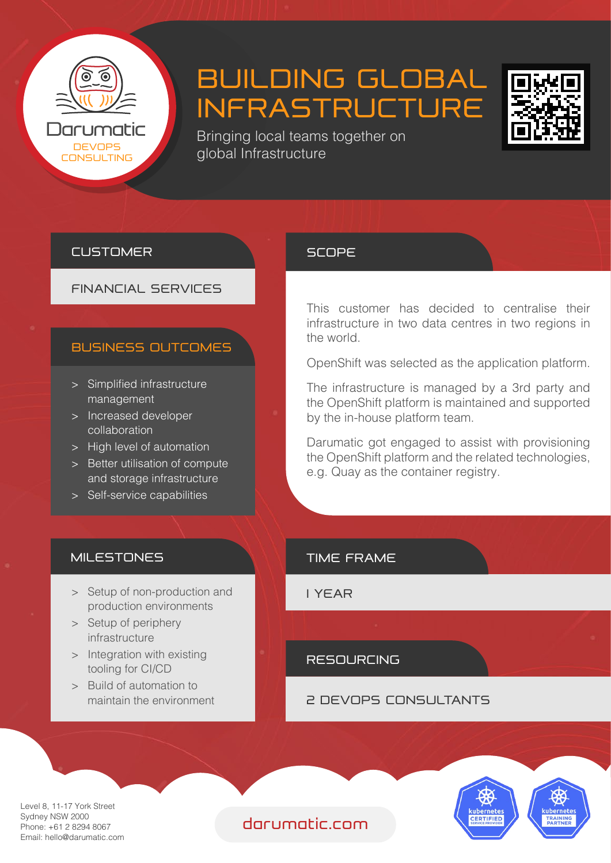

# BUILDING GLOBAL INFRASTRUCTURE



Bringing local teams together on DEVOPS<br>DNSLILTING QIODAL Infrastructure

#### **CUSTOMER**

#### FINANCIAL SERVICES

#### BUSINESS OUTCOMES

- > Simplified infrastructure management
- > Increased developer collaboration
- > High level of automation
- > Better utilisation of compute and storage infrastructure
- > Self-service capabilities

#### **MILESTONES**

- > Setup of non-production and production environments
- > Setup of periphery infrastructure
- > Integration with existing tooling for CI/CD
- > Build of automation to maintain the environment

#### **SCOPE**

This customer has decided to centralise their infrastructure in two data centres in two regions in the world.

OpenShift was selected as the application platform.

The infrastructure is managed by a 3rd party and the OpenShift platform is maintained and supported by the in-house platform team.

Darumatic got engaged to assist with provisioning the OpenShift platform and the related technologies, e.g. Quay as the container registry.

#### TIME FRAME

1 YEAR

#### RESOURCING

#### 2 DEVOPS CONSULTANTS



Level 8, 11-17 York Street Sydney NSW 2000 Phone: +61 2 8294 8067 Email: hello@darumatic.com

### darumatic.com